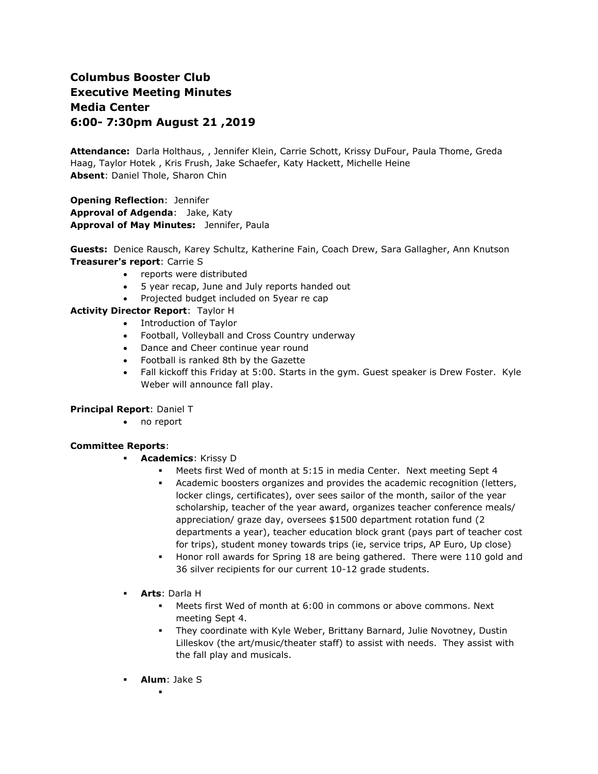# **Columbus Booster Club Executive Meeting Minutes Media Center 6:00- 7:30pm August 21 ,2019**

**Attendance:** Darla Holthaus, , Jennifer Klein, Carrie Schott, Krissy DuFour, Paula Thome, Greda Haag, Taylor Hotek , Kris Frush, Jake Schaefer, Katy Hackett, Michelle Heine **Absent**: Daniel Thole, Sharon Chin

**Opening Reflection**: Jennifer **Approval of Adgenda**: Jake, Katy **Approval of May Minutes:** Jennifer, Paula

**Guests:** Denice Rausch, Karey Schultz, Katherine Fain, Coach Drew, Sara Gallagher, Ann Knutson **Treasurer's report**: Carrie S

- reports were distributed
- 5 year recap, June and July reports handed out
- Projected budget included on 5year re cap

# **Activity Director Report**: Taylor H

- Introduction of Taylor
- Football, Volleyball and Cross Country underway
- Dance and Cheer continue year round
- Football is ranked 8th by the Gazette
- Fall kickoff this Friday at 5:00. Starts in the gym. Guest speaker is Drew Foster. Kyle Weber will announce fall play.

## **Principal Report**: Daniel T

• no report

## **Committee Reports**:

- **Academics**: Krissy D
	- Meets first Wed of month at 5:15 in media Center. Next meeting Sept 4
	- Academic boosters organizes and provides the academic recognition (letters, locker clings, certificates), over sees sailor of the month, sailor of the year scholarship, teacher of the year award, organizes teacher conference meals/ appreciation/ graze day, oversees \$1500 department rotation fund (2 departments a year), teacher education block grant (pays part of teacher cost for trips), student money towards trips (ie, service trips, AP Euro, Up close)
	- Honor roll awards for Spring 18 are being gathered. There were 110 gold and 36 silver recipients for our current 10-12 grade students.
- **Arts**: Darla H
	- Meets first Wed of month at 6:00 in commons or above commons. Next meeting Sept 4.
	- They coordinate with Kyle Weber, Brittany Barnard, Julie Novotney, Dustin Lilleskov (the art/music/theater staff) to assist with needs. They assist with the fall play and musicals.
- **Alum**: Jake S .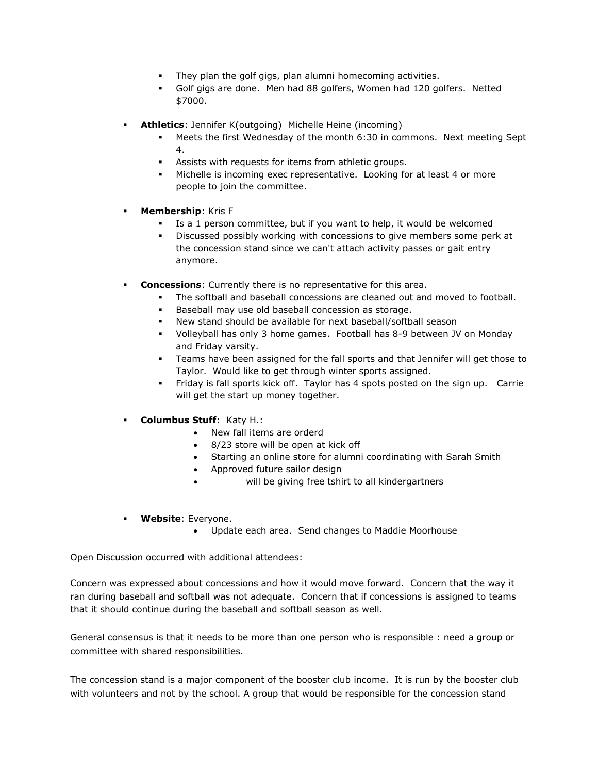- They plan the golf gigs, plan alumni homecoming activities.
- Golf gigs are done. Men had 88 golfers, Women had 120 golfers. Netted \$7000.
- **Athletics**: Jennifer K(outgoing) Michelle Heine (incoming)
	- Meets the first Wednesday of the month 6:30 in commons. Next meeting Sept 4.
	- Assists with requests for items from athletic groups.
	- Michelle is incoming exec representative. Looking for at least 4 or more people to join the committee.
- **Membership**: Kris F
	- Is a 1 person committee, but if you want to help, it would be welcomed
	- Discussed possibly working with concessions to give members some perk at the concession stand since we can't attach activity passes or gait entry anymore.
- **Concessions**: Currently there is no representative for this area.
	- The softball and baseball concessions are cleaned out and moved to football.
	- Baseball may use old baseball concession as storage.
	- New stand should be available for next baseball/softball season
	- Volleyball has only 3 home games. Football has 8-9 between JV on Monday and Friday varsity.
	- Teams have been assigned for the fall sports and that Jennifer will get those to Taylor. Would like to get through winter sports assigned.
	- Friday is fall sports kick off. Taylor has 4 spots posted on the sign up. Carrie will get the start up money together.
- **Columbus Stuff**: Katy H.:
	- New fall items are orderd
	- 8/23 store will be open at kick off
	- Starting an online store for alumni coordinating with Sarah Smith
	- Approved future sailor design
	- will be giving free tshirt to all kindergartners
- **Website**: Everyone.
	- Update each area. Send changes to Maddie Moorhouse

Open Discussion occurred with additional attendees:

Concern was expressed about concessions and how it would move forward. Concern that the way it ran during baseball and softball was not adequate. Concern that if concessions is assigned to teams that it should continue during the baseball and softball season as well.

General consensus is that it needs to be more than one person who is responsible : need a group or committee with shared responsibilities.

The concession stand is a major component of the booster club income. It is run by the booster club with volunteers and not by the school. A group that would be responsible for the concession stand